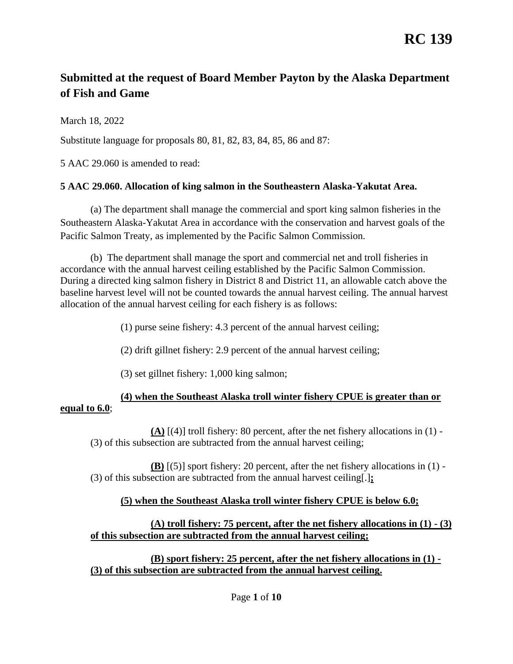# **RC 139**

# **Submitted at the request of Board Member Payton by the Alaska Department of Fish and Game**

March 18, 2022

Substitute language for proposals 80, 81, 82, 83, 84, 85, 86 and 87:

5 AAC 29.060 is amended to read:

#### **[5 AAC 29.060. Allocation of king salmon in the Southeastern Alaska-Yakutat Area.](http://www.akleg.gov/basis/aac.asp#5.29.060)**

(a) The department shall manage the commercial and sport king salmon fisheries in the Southeastern Alaska-Yakutat Area in accordance with the conservation and harvest goals of the Pacific Salmon Treaty, as implemented by the Pacific Salmon Commission.

(b) The department shall manage the sport and commercial net and troll fisheries in accordance with the annual harvest ceiling established by the Pacific Salmon Commission. During a directed king salmon fishery in District 8 and District 11, an allowable catch above the baseline harvest level will not be counted towards the annual harvest ceiling. The annual harvest allocation of the annual harvest ceiling for each fishery is as follows:

(1) purse seine fishery: 4.3 percent of the annual harvest ceiling;

(2) drift gillnet fishery: 2.9 percent of the annual harvest ceiling;

(3) set gillnet fishery: 1,000 king salmon;

## **(4) when the Southeast Alaska troll winter fishery CPUE is greater than or equal to 6.0**;

**(A)** [(4)] troll fishery: 80 percent, after the net fishery allocations in (1) - (3) of this subsection are subtracted from the annual harvest ceiling;

**(B)** [(5)] sport fishery: 20 percent, after the net fishery allocations in (1) - (3) of this subsection are subtracted from the annual harvest ceiling[.]**;**

### **(5) when the Southeast Alaska troll winter fishery CPUE is below 6.0;**

### **(A) troll fishery: 75 percent, after the net fishery allocations in (1) - (3) of this subsection are subtracted from the annual harvest ceiling;**

**(B) sport fishery: 25 percent, after the net fishery allocations in (1) - (3) of this subsection are subtracted from the annual harvest ceiling.**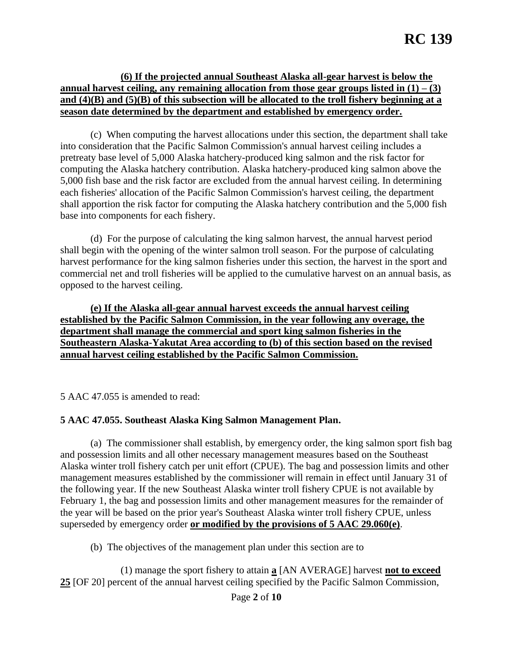#### **(6) If the projected annual Southeast Alaska all-gear harvest is below the annual harvest ceiling, any remaining allocation from those gear groups listed in (1) – (3) and (4)(B) and (5)(B) of this subsection will be allocated to the troll fishery beginning at a season date determined by the department and established by emergency order.**

(c) When computing the harvest allocations under this section, the department shall take into consideration that the Pacific Salmon Commission's annual harvest ceiling includes a pretreaty base level of 5,000 Alaska hatchery-produced king salmon and the risk factor for computing the Alaska hatchery contribution. Alaska hatchery-produced king salmon above the 5,000 fish base and the risk factor are excluded from the annual harvest ceiling. In determining each fisheries' allocation of the Pacific Salmon Commission's harvest ceiling, the department shall apportion the risk factor for computing the Alaska hatchery contribution and the 5,000 fish base into components for each fishery.

(d) For the purpose of calculating the king salmon harvest, the annual harvest period shall begin with the opening of the winter salmon troll season. For the purpose of calculating harvest performance for the king salmon fisheries under this section, the harvest in the sport and commercial net and troll fisheries will be applied to the cumulative harvest on an annual basis, as opposed to the harvest ceiling.

**(e) If the Alaska all-gear annual harvest exceeds the annual harvest ceiling established by the Pacific Salmon Commission, in the year following any overage, the department shall manage the commercial and sport king salmon fisheries in the Southeastern Alaska-Yakutat Area according to (b) of this section based on the revised annual harvest ceiling established by the Pacific Salmon Commission.**

5 AAC 47.055 is amended to read:

#### **5 AAC 47.055. Southeast Alaska King Salmon Management Plan.**

(a) The commissioner shall establish, by emergency order, the king salmon sport fish bag and possession limits and all other necessary management measures based on the Southeast Alaska winter troll fishery catch per unit effort (CPUE). The bag and possession limits and other management measures established by the commissioner will remain in effect until January 31 of the following year. If the new Southeast Alaska winter troll fishery CPUE is not available by February 1, the bag and possession limits and other management measures for the remainder of the year will be based on the prior year's Southeast Alaska winter troll fishery CPUE, unless superseded by emergency order **or modified by the provisions of 5 AAC 29.060(e)**.

(b) The objectives of the management plan under this section are to

(1) manage the sport fishery to attain **a** [AN AVERAGE] harvest **not to exceed 25** [OF 20] percent of the annual harvest ceiling specified by the Pacific Salmon Commission,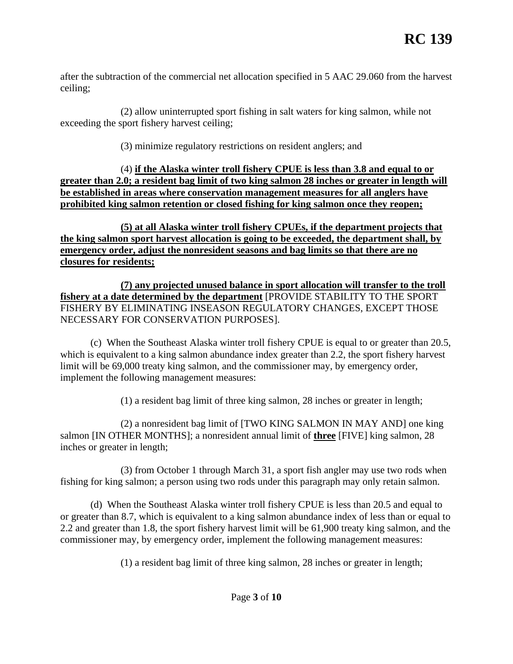after the subtraction of the commercial net allocation specified in 5 AAC 29.060 from the harvest ceiling;

(2) allow uninterrupted sport fishing in salt waters for king salmon, while not exceeding the sport fishery harvest ceiling;

(3) minimize regulatory restrictions on resident anglers; and

(4) **if the Alaska winter troll fishery CPUE is less than 3.8 and equal to or greater than 2.0; a resident bag limit of two king salmon 28 inches or greater in length will be established in areas where conservation management measures for all anglers have prohibited king salmon retention or closed fishing for king salmon once they reopen;**

**(5) at all Alaska winter troll fishery CPUEs, if the department projects that the king salmon sport harvest allocation is going to be exceeded, the department shall, by emergency order, adjust the nonresident seasons and bag limits so that there are no closures for residents;** 

**(7) any projected unused balance in sport allocation will transfer to the troll fishery at a date determined by the department** [PROVIDE STABILITY TO THE SPORT FISHERY BY ELIMINATING INSEASON REGULATORY CHANGES, EXCEPT THOSE NECESSARY FOR CONSERVATION PURPOSES].

(c) When the Southeast Alaska winter troll fishery CPUE is equal to or greater than 20.5, which is equivalent to a king salmon abundance index greater than 2.2, the sport fishery harvest limit will be 69,000 treaty king salmon, and the commissioner may, by emergency order, implement the following management measures:

(1) a resident bag limit of three king salmon, 28 inches or greater in length;

(2) a nonresident bag limit of [TWO KING SALMON IN MAY AND] one king salmon [IN OTHER MONTHS]; a nonresident annual limit of **three** [FIVE] king salmon, 28 inches or greater in length;

(3) from October 1 through March 31, a sport fish angler may use two rods when fishing for king salmon; a person using two rods under this paragraph may only retain salmon.

(d) When the Southeast Alaska winter troll fishery CPUE is less than 20.5 and equal to or greater than 8.7, which is equivalent to a king salmon abundance index of less than or equal to 2.2 and greater than 1.8, the sport fishery harvest limit will be 61,900 treaty king salmon, and the commissioner may, by emergency order, implement the following management measures:

(1) a resident bag limit of three king salmon, 28 inches or greater in length;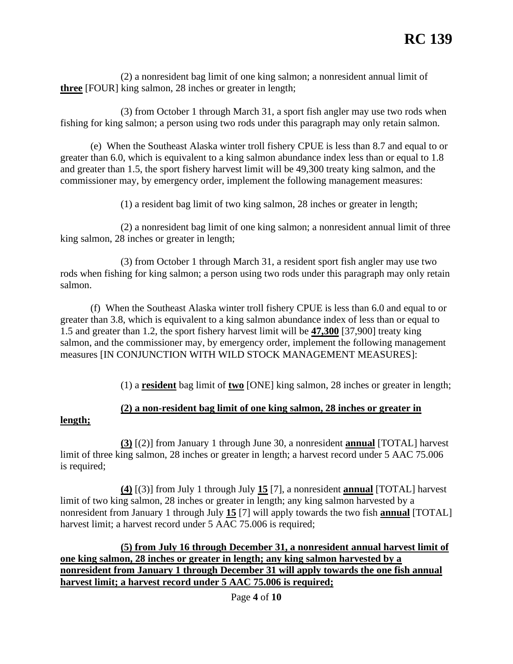(2) a nonresident bag limit of one king salmon; a nonresident annual limit of **three** [FOUR] king salmon, 28 inches or greater in length;

(3) from October 1 through March 31, a sport fish angler may use two rods when fishing for king salmon; a person using two rods under this paragraph may only retain salmon.

(e) When the Southeast Alaska winter troll fishery CPUE is less than 8.7 and equal to or greater than 6.0, which is equivalent to a king salmon abundance index less than or equal to 1.8 and greater than 1.5, the sport fishery harvest limit will be 49,300 treaty king salmon, and the commissioner may, by emergency order, implement the following management measures:

(1) a resident bag limit of two king salmon, 28 inches or greater in length;

(2) a nonresident bag limit of one king salmon; a nonresident annual limit of three king salmon, 28 inches or greater in length;

(3) from October 1 through March 31, a resident sport fish angler may use two rods when fishing for king salmon; a person using two rods under this paragraph may only retain salmon.

(f) When the Southeast Alaska winter troll fishery CPUE is less than 6.0 and equal to or greater than 3.8, which is equivalent to a king salmon abundance index of less than or equal to 1.5 and greater than 1.2, the sport fishery harvest limit will be **47,300** [37,900] treaty king salmon, and the commissioner may, by emergency order, implement the following management measures [IN CONJUNCTION WITH WILD STOCK MANAGEMENT MEASURES]:

(1) a **resident** bag limit of **two** [ONE] king salmon, 28 inches or greater in length;

# **(2) a non-resident bag limit of one king salmon, 28 inches or greater in**

#### **length;**

**(3)** [(2)] from January 1 through June 30, a nonresident **annual** [TOTAL] harvest limit of three king salmon, 28 inches or greater in length; a harvest record under 5 AAC 75.006 is required;

**(4)** [(3)] from July 1 through July **15** [7], a nonresident **annual** [TOTAL] harvest limit of two king salmon, 28 inches or greater in length; any king salmon harvested by a nonresident from January 1 through July **15** [7] will apply towards the two fish **annual** [TOTAL] harvest limit; a harvest record under 5 AAC 75.006 is required;

**(5) from July 16 through December 31, a nonresident annual harvest limit of one king salmon, 28 inches or greater in length; any king salmon harvested by a nonresident from January 1 through December 31 will apply towards the one fish annual harvest limit; a harvest record under 5 AAC 75.006 is required;**

Page **4** of **10**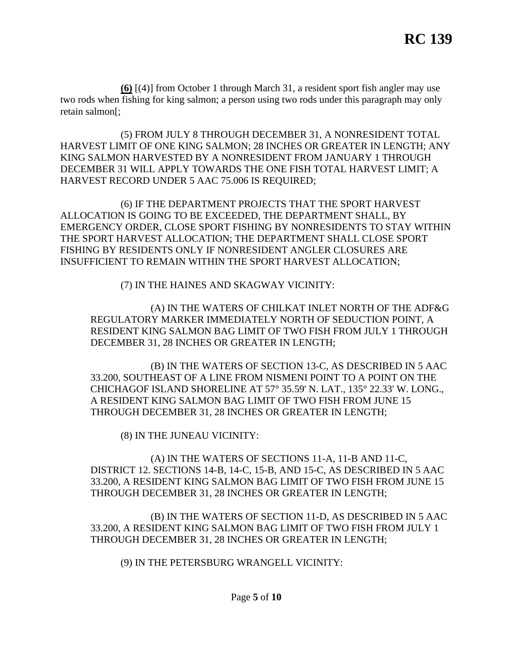**(6)** [(4)] from October 1 through March 31, a resident sport fish angler may use two rods when fishing for king salmon; a person using two rods under this paragraph may only retain salmon[;

(5) FROM JULY 8 THROUGH DECEMBER 31, A NONRESIDENT TOTAL HARVEST LIMIT OF ONE KING SALMON; 28 INCHES OR GREATER IN LENGTH; ANY KING SALMON HARVESTED BY A NONRESIDENT FROM JANUARY 1 THROUGH DECEMBER 31 WILL APPLY TOWARDS THE ONE FISH TOTAL HARVEST LIMIT; A HARVEST RECORD UNDER 5 AAC 75.006 IS REQUIRED;

(6) IF THE DEPARTMENT PROJECTS THAT THE SPORT HARVEST ALLOCATION IS GOING TO BE EXCEEDED, THE DEPARTMENT SHALL, BY EMERGENCY ORDER, CLOSE SPORT FISHING BY NONRESIDENTS TO STAY WITHIN THE SPORT HARVEST ALLOCATION; THE DEPARTMENT SHALL CLOSE SPORT FISHING BY RESIDENTS ONLY IF NONRESIDENT ANGLER CLOSURES ARE INSUFFICIENT TO REMAIN WITHIN THE SPORT HARVEST ALLOCATION;

(7) IN THE HAINES AND SKAGWAY VICINITY:

(A) IN THE WATERS OF CHILKAT INLET NORTH OF THE ADF&G REGULATORY MARKER IMMEDIATELY NORTH OF SEDUCTION POINT, A RESIDENT KING SALMON BAG LIMIT OF TWO FISH FROM JULY 1 THROUGH DECEMBER 31, 28 INCHES OR GREATER IN LENGTH;

(B) IN THE WATERS OF SECTION 13-C, AS DESCRIBED IN 5 AAC 33.200, SOUTHEAST OF A LINE FROM NISMENI POINT TO A POINT ON THE CHICHAGOF ISLAND SHORELINE AT 57° 35.59' N. LAT., 135° 22.33' W. LONG., A RESIDENT KING SALMON BAG LIMIT OF TWO FISH FROM JUNE 15 THROUGH DECEMBER 31, 28 INCHES OR GREATER IN LENGTH;

(8) IN THE JUNEAU VICINITY:

(A) IN THE WATERS OF SECTIONS 11-A, 11-B AND 11-C, DISTRICT 12. SECTIONS 14-B, 14-C, 15-B, AND 15-C, AS DESCRIBED IN 5 AAC 33.200, A RESIDENT KING SALMON BAG LIMIT OF TWO FISH FROM JUNE 15 THROUGH DECEMBER 31, 28 INCHES OR GREATER IN LENGTH;

(B) IN THE WATERS OF SECTION 11-D, AS DESCRIBED IN 5 AAC 33.200, A RESIDENT KING SALMON BAG LIMIT OF TWO FISH FROM JULY 1 THROUGH DECEMBER 31, 28 INCHES OR GREATER IN LENGTH;

(9) IN THE PETERSBURG WRANGELL VICINITY: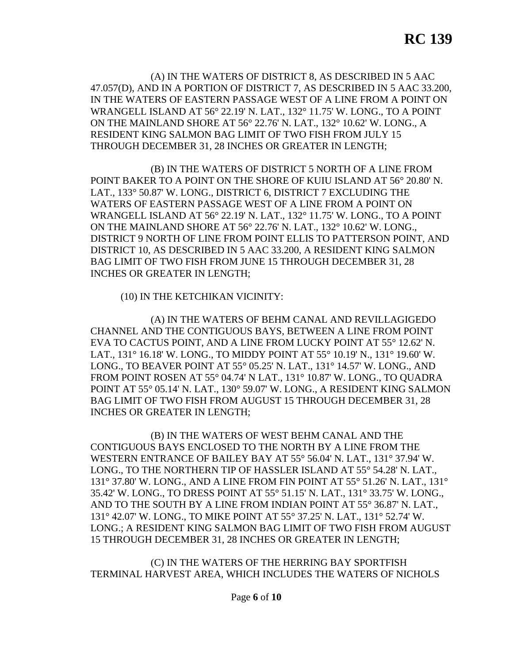(A) IN THE WATERS OF DISTRICT 8, AS DESCRIBED IN 5 AAC 47.057(D), AND IN A PORTION OF DISTRICT 7, AS DESCRIBED IN 5 AAC 33.200, IN THE WATERS OF EASTERN PASSAGE WEST OF A LINE FROM A POINT ON WRANGELL ISLAND AT 56° 22.19' N. LAT., 132° 11.75' W. LONG., TO A POINT ON THE MAINLAND SHORE AT 56° 22.76' N. LAT., 132° 10.62' W. LONG., A RESIDENT KING SALMON BAG LIMIT OF TWO FISH FROM JULY 15 THROUGH DECEMBER 31, 28 INCHES OR GREATER IN LENGTH;

(B) IN THE WATERS OF DISTRICT 5 NORTH OF A LINE FROM POINT BAKER TO A POINT ON THE SHORE OF KUIU ISLAND AT 56° 20.80' N. LAT., 133° 50.87' W. LONG., DISTRICT 6, DISTRICT 7 EXCLUDING THE WATERS OF EASTERN PASSAGE WEST OF A LINE FROM A POINT ON WRANGELL ISLAND AT 56° 22.19' N. LAT., 132° 11.75' W. LONG., TO A POINT ON THE MAINLAND SHORE AT 56° 22.76' N. LAT., 132° 10.62' W. LONG., DISTRICT 9 NORTH OF LINE FROM POINT ELLIS TO PATTERSON POINT, AND DISTRICT 10, AS DESCRIBED IN 5 AAC 33.200, A RESIDENT KING SALMON BAG LIMIT OF TWO FISH FROM JUNE 15 THROUGH DECEMBER 31, 28 INCHES OR GREATER IN LENGTH;

(10) IN THE KETCHIKAN VICINITY:

(A) IN THE WATERS OF BEHM CANAL AND REVILLAGIGEDO CHANNEL AND THE CONTIGUOUS BAYS, BETWEEN A LINE FROM POINT EVA TO CACTUS POINT, AND A LINE FROM LUCKY POINT AT 55° 12.62' N. LAT., 131° 16.18' W. LONG., TO MIDDY POINT AT 55° 10.19' N., 131° 19.60' W. LONG., TO BEAVER POINT AT 55° 05.25' N. LAT., 131° 14.57' W. LONG., AND FROM POINT ROSEN AT 55° 04.74' N LAT., 131° 10.87' W. LONG., TO QUADRA POINT AT 55° 05.14' N. LAT., 130° 59.07' W. LONG., A RESIDENT KING SALMON BAG LIMIT OF TWO FISH FROM AUGUST 15 THROUGH DECEMBER 31, 28 INCHES OR GREATER IN LENGTH;

(B) IN THE WATERS OF WEST BEHM CANAL AND THE CONTIGUOUS BAYS ENCLOSED TO THE NORTH BY A LINE FROM THE WESTERN ENTRANCE OF BAILEY BAY AT 55° 56.04' N. LAT., 131° 37.94' W. LONG., TO THE NORTHERN TIP OF HASSLER ISLAND AT 55° 54.28' N. LAT., 131° 37.80' W. LONG., AND A LINE FROM FIN POINT AT 55° 51.26' N. LAT., 131° 35.42' W. LONG., TO DRESS POINT AT 55° 51.15' N. LAT., 131° 33.75' W. LONG., AND TO THE SOUTH BY A LINE FROM INDIAN POINT AT 55° 36.87' N. LAT., 131° 42.07' W. LONG., TO MIKE POINT AT 55° 37.25' N. LAT., 131° 52.74' W. LONG.; A RESIDENT KING SALMON BAG LIMIT OF TWO FISH FROM AUGUST 15 THROUGH DECEMBER 31, 28 INCHES OR GREATER IN LENGTH;

(C) IN THE WATERS OF THE HERRING BAY SPORTFISH TERMINAL HARVEST AREA, WHICH INCLUDES THE WATERS OF NICHOLS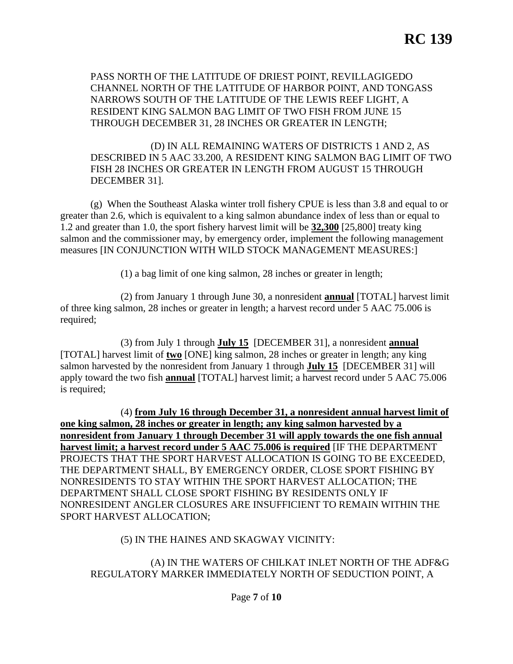PASS NORTH OF THE LATITUDE OF DRIEST POINT, REVILLAGIGEDO CHANNEL NORTH OF THE LATITUDE OF HARBOR POINT, AND TONGASS NARROWS SOUTH OF THE LATITUDE OF THE LEWIS REEF LIGHT, A RESIDENT KING SALMON BAG LIMIT OF TWO FISH FROM JUNE 15 THROUGH DECEMBER 31, 28 INCHES OR GREATER IN LENGTH;

(D) IN ALL REMAINING WATERS OF DISTRICTS 1 AND 2, AS DESCRIBED IN 5 AAC 33.200, A RESIDENT KING SALMON BAG LIMIT OF TWO FISH 28 INCHES OR GREATER IN LENGTH FROM AUGUST 15 THROUGH DECEMBER 31].

(g) When the Southeast Alaska winter troll fishery CPUE is less than 3.8 and equal to or greater than 2.6, which is equivalent to a king salmon abundance index of less than or equal to 1.2 and greater than 1.0, the sport fishery harvest limit will be **32,300** [25,800] treaty king salmon and the commissioner may, by emergency order, implement the following management measures [IN CONJUNCTION WITH WILD STOCK MANAGEMENT MEASURES:]

(1) a bag limit of one king salmon, 28 inches or greater in length;

(2) from January 1 through June 30, a nonresident **annual** [TOTAL] harvest limit of three king salmon, 28 inches or greater in length; a harvest record under 5 AAC 75.006 is required;

(3) from July 1 through **July 15** [DECEMBER 31], a nonresident **annual** [TOTAL] harvest limit of **two** [ONE] king salmon, 28 inches or greater in length; any king salmon harvested by the nonresident from January 1 through **July 15** [DECEMBER 31] will apply toward the two fish **annual** [TOTAL] harvest limit; a harvest record under 5 AAC 75.006 is required;

(4) **from July 16 through December 31, a nonresident annual harvest limit of one king salmon, 28 inches or greater in length; any king salmon harvested by a nonresident from January 1 through December 31 will apply towards the one fish annual harvest limit; a harvest record under 5 AAC 75.006 is required** [IF THE DEPARTMENT PROJECTS THAT THE SPORT HARVEST ALLOCATION IS GOING TO BE EXCEEDED, THE DEPARTMENT SHALL, BY EMERGENCY ORDER, CLOSE SPORT FISHING BY NONRESIDENTS TO STAY WITHIN THE SPORT HARVEST ALLOCATION; THE DEPARTMENT SHALL CLOSE SPORT FISHING BY RESIDENTS ONLY IF NONRESIDENT ANGLER CLOSURES ARE INSUFFICIENT TO REMAIN WITHIN THE SPORT HARVEST ALLOCATION;

#### (5) IN THE HAINES AND SKAGWAY VICINITY:

#### (A) IN THE WATERS OF CHILKAT INLET NORTH OF THE ADF&G REGULATORY MARKER IMMEDIATELY NORTH OF SEDUCTION POINT, A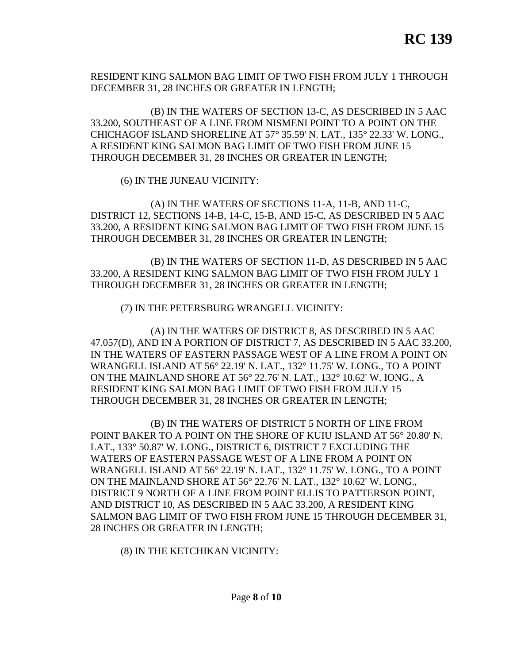RESIDENT KING SALMON BAG LIMIT OF TWO FISH FROM JULY 1 THROUGH DECEMBER 31, 28 INCHES OR GREATER IN LENGTH;

(B) IN THE WATERS OF SECTION 13-C, AS DESCRIBED IN 5 AAC 33.200, SOUTHEAST OF A LINE FROM NISMENI POINT TO A POINT ON THE CHICHAGOF ISLAND SHORELINE AT 57° 35.59' N. LAT., 135° 22.33' W. LONG., A RESIDENT KING SALMON BAG LIMIT OF TWO FISH FROM JUNE 15 THROUGH DECEMBER 31, 28 INCHES OR GREATER IN LENGTH;

(6) IN THE JUNEAU VICINITY:

(A) IN THE WATERS OF SECTIONS 11-A, 11-B, AND 11-C, DISTRICT 12, SECTIONS 14-B, 14-C, 15-B, AND 15-C, AS DESCRIBED IN 5 AAC 33.200, A RESIDENT KING SALMON BAG LIMIT OF TWO FISH FROM JUNE 15 THROUGH DECEMBER 31, 28 INCHES OR GREATER IN LENGTH;

(B) IN THE WATERS OF SECTION 11-D, AS DESCRIBED IN 5 AAC 33.200, A RESIDENT KING SALMON BAG LIMIT OF TWO FISH FROM JULY 1 THROUGH DECEMBER 31, 28 INCHES OR GREATER IN LENGTH;

(7) IN THE PETERSBURG WRANGELL VICINITY:

(A) IN THE WATERS OF DISTRICT 8, AS DESCRIBED IN 5 AAC 47.057(D), AND IN A PORTION OF DISTRICT 7, AS DESCRIBED IN 5 AAC 33.200, IN THE WATERS OF EASTERN PASSAGE WEST OF A LINE FROM A POINT ON WRANGELL ISLAND AT 56° 22.19' N. LAT., 132° 11.75' W. LONG., TO A POINT ON THE MAINLAND SHORE AT 56° 22.76' N. LAT., 132° 10.62' W. IONG., A RESIDENT KING SALMON BAG LIMIT OF TWO FISH FROM JULY 15 THROUGH DECEMBER 31, 28 INCHES OR GREATER IN LENGTH;

(B) IN THE WATERS OF DISTRICT 5 NORTH OF LINE FROM POINT BAKER TO A POINT ON THE SHORE OF KUIU ISLAND AT 56° 20.80' N. LAT., 133° 50.87' W. LONG., DISTRICT 6, DISTRICT 7 EXCLUDING THE WATERS OF EASTERN PASSAGE WEST OF A LINE FROM A POINT ON WRANGELL ISLAND AT 56° 22.19' N. LAT., 132° 11.75' W. LONG., TO A POINT ON THE MAINLAND SHORE AT 56° 22.76' N. LAT., 132° 10.62' W. LONG., DISTRICT 9 NORTH OF A LINE FROM POINT ELLIS TO PATTERSON POINT, AND DISTRICT 10, AS DESCRIBED IN 5 AAC 33.200, A RESIDENT KING SALMON BAG LIMIT OF TWO FISH FROM JUNE 15 THROUGH DECEMBER 31, 28 INCHES OR GREATER IN LENGTH;

(8) IN THE KETCHIKAN VICINITY: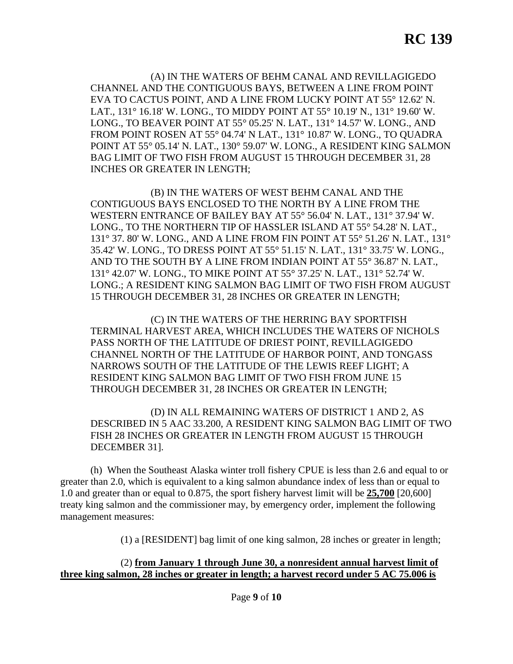(A) IN THE WATERS OF BEHM CANAL AND REVILLAGIGEDO CHANNEL AND THE CONTIGUOUS BAYS, BETWEEN A LINE FROM POINT EVA TO CACTUS POINT, AND A LINE FROM LUCKY POINT AT 55° 12.62' N. LAT., 131° 16.18' W. LONG., TO MIDDY POINT AT 55° 10.19' N., 131° 19.60' W. LONG., TO BEAVER POINT AT 55° 05.25' N. LAT., 131° 14.57' W. LONG., AND FROM POINT ROSEN AT 55° 04.74' N LAT., 131° 10.87' W. LONG., TO QUADRA POINT AT 55° 05.14' N. LAT., 130° 59.07' W. LONG., A RESIDENT KING SALMON BAG LIMIT OF TWO FISH FROM AUGUST 15 THROUGH DECEMBER 31, 28 INCHES OR GREATER IN LENGTH;

(B) IN THE WATERS OF WEST BEHM CANAL AND THE CONTIGUOUS BAYS ENCLOSED TO THE NORTH BY A LINE FROM THE WESTERN ENTRANCE OF BAILEY BAY AT 55° 56.04' N. LAT., 131° 37.94' W. LONG., TO THE NORTHERN TIP OF HASSLER ISLAND AT 55° 54.28' N. LAT., 131° 37. 80' W. LONG., AND A LINE FROM FIN POINT AT 55° 51.26' N. LAT., 131° 35.42' W. LONG., TO DRESS POINT AT 55° 51.15' N. LAT., 131° 33.75' W. LONG., AND TO THE SOUTH BY A LINE FROM INDIAN POINT AT 55° 36.87' N. LAT., 131° 42.07' W. LONG., TO MIKE POINT AT 55° 37.25' N. LAT., 131° 52.74' W. LONG.; A RESIDENT KING SALMON BAG LIMIT OF TWO FISH FROM AUGUST 15 THROUGH DECEMBER 31, 28 INCHES OR GREATER IN LENGTH;

(C) IN THE WATERS OF THE HERRING BAY SPORTFISH TERMINAL HARVEST AREA, WHICH INCLUDES THE WATERS OF NICHOLS PASS NORTH OF THE LATITUDE OF DRIEST POINT, REVILLAGIGEDO CHANNEL NORTH OF THE LATITUDE OF HARBOR POINT, AND TONGASS NARROWS SOUTH OF THE LATITUDE OF THE LEWIS REEF LIGHT; A RESIDENT KING SALMON BAG LIMIT OF TWO FISH FROM JUNE 15 THROUGH DECEMBER 31, 28 INCHES OR GREATER IN LENGTH;

(D) IN ALL REMAINING WATERS OF DISTRICT 1 AND 2, AS DESCRIBED IN 5 AAC 33.200, A RESIDENT KING SALMON BAG LIMIT OF TWO FISH 28 INCHES OR GREATER IN LENGTH FROM AUGUST 15 THROUGH DECEMBER 31].

(h) When the Southeast Alaska winter troll fishery CPUE is less than 2.6 and equal to or greater than 2.0, which is equivalent to a king salmon abundance index of less than or equal to 1.0 and greater than or equal to 0.875, the sport fishery harvest limit will be **25,700** [20,600] treaty king salmon and the commissioner may, by emergency order, implement the following management measures:

(1) a [RESIDENT] bag limit of one king salmon, 28 inches or greater in length;

#### (2) **from January 1 through June 30, a nonresident annual harvest limit of three king salmon, 28 inches or greater in length; a harvest record under 5 AC 75.006 is**